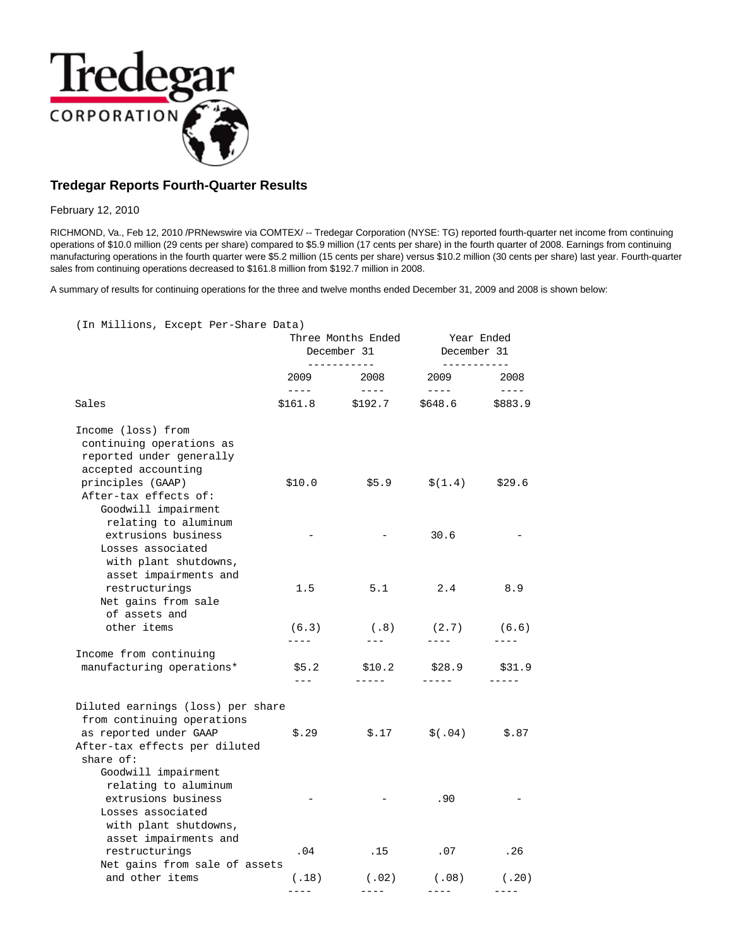

# **Tredegar Reports Fourth-Quarter Results**

February 12, 2010

RICHMOND, Va., Feb 12, 2010 /PRNewswire via COMTEX/ -- Tredegar Corporation (NYSE: TG) reported fourth-quarter net income from continuing operations of \$10.0 million (29 cents per share) compared to \$5.9 million (17 cents per share) in the fourth quarter of 2008. Earnings from continuing manufacturing operations in the fourth quarter were \$5.2 million (15 cents per share) versus \$10.2 million (30 cents per share) last year. Fourth-quarter sales from continuing operations decreased to \$161.8 million from \$192.7 million in 2008.

A summary of results for continuing operations for the three and twelve months ended December 31, 2009 and 2008 is shown below:

| (In Millions, Except Per-Share Data)                                                                                                    |                                                                                                                                                                                                                                                                                                                                                                                                      | Three Months Ended<br>December 31<br>------------ |                                                                                                                                                                                                                                                                                                                                                                                                      | Year Ended<br>December 31<br>------------ |  |
|-----------------------------------------------------------------------------------------------------------------------------------------|------------------------------------------------------------------------------------------------------------------------------------------------------------------------------------------------------------------------------------------------------------------------------------------------------------------------------------------------------------------------------------------------------|---------------------------------------------------|------------------------------------------------------------------------------------------------------------------------------------------------------------------------------------------------------------------------------------------------------------------------------------------------------------------------------------------------------------------------------------------------------|-------------------------------------------|--|
|                                                                                                                                         | 2009<br>$\frac{1}{2} \frac{1}{2} \frac{1}{2} \frac{1}{2} \frac{1}{2} \frac{1}{2} \frac{1}{2} \frac{1}{2} \frac{1}{2} \frac{1}{2} \frac{1}{2} \frac{1}{2} \frac{1}{2} \frac{1}{2} \frac{1}{2} \frac{1}{2} \frac{1}{2} \frac{1}{2} \frac{1}{2} \frac{1}{2} \frac{1}{2} \frac{1}{2} \frac{1}{2} \frac{1}{2} \frac{1}{2} \frac{1}{2} \frac{1}{2} \frac{1}{2} \frac{1}{2} \frac{1}{2} \frac{1}{2} \frac{$ | 2008<br>$\qquad \qquad - - - -$                   | 2009<br>$\frac{1}{2} \frac{1}{2} \frac{1}{2} \frac{1}{2} \frac{1}{2} \frac{1}{2} \frac{1}{2} \frac{1}{2} \frac{1}{2} \frac{1}{2} \frac{1}{2} \frac{1}{2} \frac{1}{2} \frac{1}{2} \frac{1}{2} \frac{1}{2} \frac{1}{2} \frac{1}{2} \frac{1}{2} \frac{1}{2} \frac{1}{2} \frac{1}{2} \frac{1}{2} \frac{1}{2} \frac{1}{2} \frac{1}{2} \frac{1}{2} \frac{1}{2} \frac{1}{2} \frac{1}{2} \frac{1}{2} \frac{$ | 2008<br>$\frac{1}{2}$                     |  |
| Sales                                                                                                                                   | $$161.8$ $$192.7$                                                                                                                                                                                                                                                                                                                                                                                    |                                                   | \$648.6 \$883.9                                                                                                                                                                                                                                                                                                                                                                                      |                                           |  |
| Income (loss) from<br>continuing operations as<br>reported under generally<br>accepted accounting                                       |                                                                                                                                                                                                                                                                                                                                                                                                      |                                                   |                                                                                                                                                                                                                                                                                                                                                                                                      |                                           |  |
| principles (GAAP)<br>After-tax effects of:<br>Goodwill impairment                                                                       | \$10.0                                                                                                                                                                                                                                                                                                                                                                                               | \$5.9                                             | \$(1.4)                                                                                                                                                                                                                                                                                                                                                                                              | \$29.6                                    |  |
| relating to aluminum<br>extrusions business<br>Losses associated                                                                        |                                                                                                                                                                                                                                                                                                                                                                                                      |                                                   | 30.6                                                                                                                                                                                                                                                                                                                                                                                                 |                                           |  |
| with plant shutdowns,<br>asset impairments and<br>restructurings<br>Net gains from sale                                                 | 1.5                                                                                                                                                                                                                                                                                                                                                                                                  | 5.1                                               | 2.4                                                                                                                                                                                                                                                                                                                                                                                                  | 8.9                                       |  |
| of assets and<br>other items                                                                                                            | (6.3)                                                                                                                                                                                                                                                                                                                                                                                                | (.8)                                              | (2.7)                                                                                                                                                                                                                                                                                                                                                                                                | (6.6)                                     |  |
| Income from continuing                                                                                                                  | $- - - -$                                                                                                                                                                                                                                                                                                                                                                                            | $---$                                             | ----                                                                                                                                                                                                                                                                                                                                                                                                 | ----                                      |  |
| manufacturing operations*                                                                                                               | \$5.2<br>$---$                                                                                                                                                                                                                                                                                                                                                                                       | \$10.2<br>$- - - - -$                             | \$28.9<br>$- - - - -$                                                                                                                                                                                                                                                                                                                                                                                | \$31.9<br>-----                           |  |
| Diluted earnings (loss) per share<br>from continuing operations<br>as reported under GAAP<br>After-tax effects per diluted<br>share of: | \$.29                                                                                                                                                                                                                                                                                                                                                                                                | \$.17                                             | \$(.04)                                                                                                                                                                                                                                                                                                                                                                                              | \$.87                                     |  |
| Goodwill impairment<br>relating to aluminum<br>extrusions business<br>Losses associated<br>with plant shutdowns,                        |                                                                                                                                                                                                                                                                                                                                                                                                      |                                                   | .90                                                                                                                                                                                                                                                                                                                                                                                                  |                                           |  |
| asset impairments and<br>restructurings                                                                                                 | .04                                                                                                                                                                                                                                                                                                                                                                                                  | .15                                               | .07                                                                                                                                                                                                                                                                                                                                                                                                  | .26                                       |  |
| Net gains from sale of assets                                                                                                           |                                                                                                                                                                                                                                                                                                                                                                                                      |                                                   |                                                                                                                                                                                                                                                                                                                                                                                                      |                                           |  |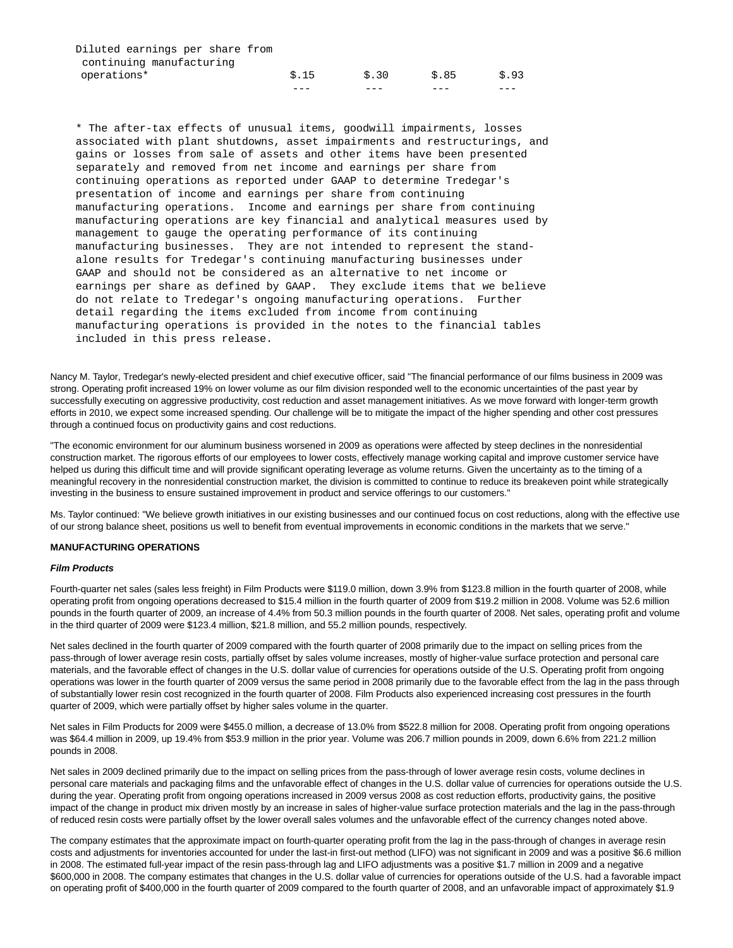| Diluted earnings per share from |                 |       |      |      |
|---------------------------------|-----------------|-------|------|------|
| continuing manufacturing        |                 |       |      |      |
| operations*                     | $\text{S}$ . 15 | \$.30 | S.85 | S.93 |
|                                 |                 |       |      |      |

 \* The after-tax effects of unusual items, goodwill impairments, losses associated with plant shutdowns, asset impairments and restructurings, and gains or losses from sale of assets and other items have been presented separately and removed from net income and earnings per share from continuing operations as reported under GAAP to determine Tredegar's presentation of income and earnings per share from continuing manufacturing operations. Income and earnings per share from continuing manufacturing operations are key financial and analytical measures used by management to gauge the operating performance of its continuing manufacturing businesses. They are not intended to represent the stand alone results for Tredegar's continuing manufacturing businesses under GAAP and should not be considered as an alternative to net income or earnings per share as defined by GAAP. They exclude items that we believe do not relate to Tredegar's ongoing manufacturing operations. Further detail regarding the items excluded from income from continuing manufacturing operations is provided in the notes to the financial tables included in this press release.

Nancy M. Taylor, Tredegar's newly-elected president and chief executive officer, said "The financial performance of our films business in 2009 was strong. Operating profit increased 19% on lower volume as our film division responded well to the economic uncertainties of the past year by successfully executing on aggressive productivity, cost reduction and asset management initiatives. As we move forward with longer-term growth efforts in 2010, we expect some increased spending. Our challenge will be to mitigate the impact of the higher spending and other cost pressures through a continued focus on productivity gains and cost reductions.

"The economic environment for our aluminum business worsened in 2009 as operations were affected by steep declines in the nonresidential construction market. The rigorous efforts of our employees to lower costs, effectively manage working capital and improve customer service have helped us during this difficult time and will provide significant operating leverage as volume returns. Given the uncertainty as to the timing of a meaningful recovery in the nonresidential construction market, the division is committed to continue to reduce its breakeven point while strategically investing in the business to ensure sustained improvement in product and service offerings to our customers."

Ms. Taylor continued: "We believe growth initiatives in our existing businesses and our continued focus on cost reductions, along with the effective use of our strong balance sheet, positions us well to benefit from eventual improvements in economic conditions in the markets that we serve."

#### **MANUFACTURING OPERATIONS**

#### **Film Products**

Fourth-quarter net sales (sales less freight) in Film Products were \$119.0 million, down 3.9% from \$123.8 million in the fourth quarter of 2008, while operating profit from ongoing operations decreased to \$15.4 million in the fourth quarter of 2009 from \$19.2 million in 2008. Volume was 52.6 million pounds in the fourth quarter of 2009, an increase of 4.4% from 50.3 million pounds in the fourth quarter of 2008. Net sales, operating profit and volume in the third quarter of 2009 were \$123.4 million, \$21.8 million, and 55.2 million pounds, respectively.

Net sales declined in the fourth quarter of 2009 compared with the fourth quarter of 2008 primarily due to the impact on selling prices from the pass-through of lower average resin costs, partially offset by sales volume increases, mostly of higher-value surface protection and personal care materials, and the favorable effect of changes in the U.S. dollar value of currencies for operations outside of the U.S. Operating profit from ongoing operations was lower in the fourth quarter of 2009 versus the same period in 2008 primarily due to the favorable effect from the lag in the pass through of substantially lower resin cost recognized in the fourth quarter of 2008. Film Products also experienced increasing cost pressures in the fourth quarter of 2009, which were partially offset by higher sales volume in the quarter.

Net sales in Film Products for 2009 were \$455.0 million, a decrease of 13.0% from \$522.8 million for 2008. Operating profit from ongoing operations was \$64.4 million in 2009, up 19.4% from \$53.9 million in the prior year. Volume was 206.7 million pounds in 2009, down 6.6% from 221.2 million pounds in 2008.

Net sales in 2009 declined primarily due to the impact on selling prices from the pass-through of lower average resin costs, volume declines in personal care materials and packaging films and the unfavorable effect of changes in the U.S. dollar value of currencies for operations outside the U.S. during the year. Operating profit from ongoing operations increased in 2009 versus 2008 as cost reduction efforts, productivity gains, the positive impact of the change in product mix driven mostly by an increase in sales of higher-value surface protection materials and the lag in the pass-through of reduced resin costs were partially offset by the lower overall sales volumes and the unfavorable effect of the currency changes noted above.

The company estimates that the approximate impact on fourth-quarter operating profit from the lag in the pass-through of changes in average resin costs and adjustments for inventories accounted for under the last-in first-out method (LIFO) was not significant in 2009 and was a positive \$6.6 million in 2008. The estimated full-year impact of the resin pass-through lag and LIFO adjustments was a positive \$1.7 million in 2009 and a negative \$600,000 in 2008. The company estimates that changes in the U.S. dollar value of currencies for operations outside of the U.S. had a favorable impact on operating profit of \$400,000 in the fourth quarter of 2009 compared to the fourth quarter of 2008, and an unfavorable impact of approximately \$1.9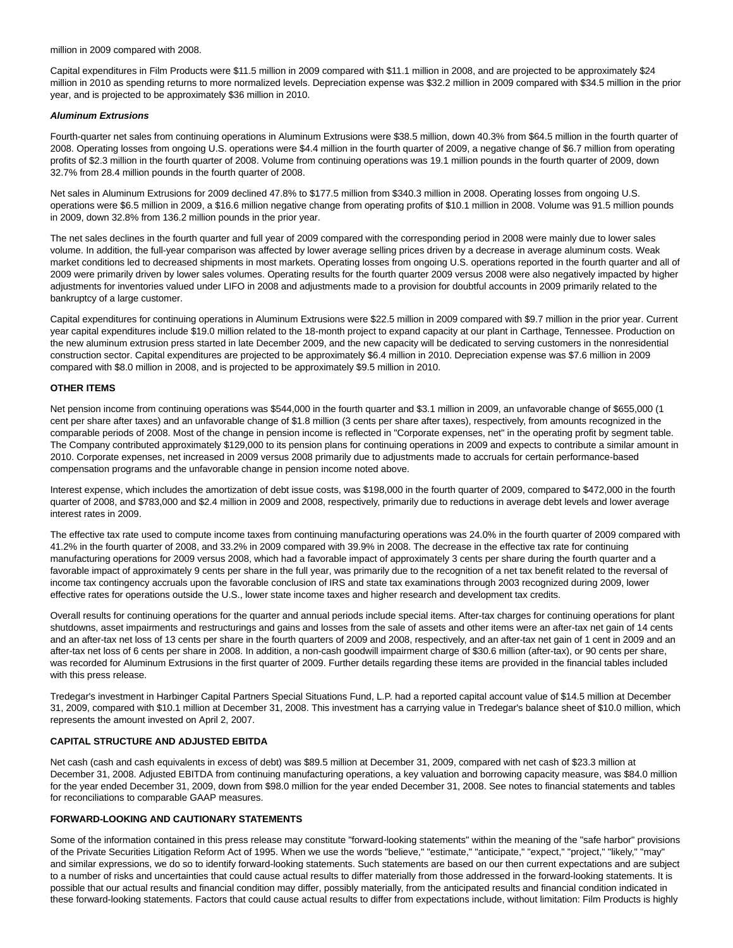million in 2009 compared with 2008.

Capital expenditures in Film Products were \$11.5 million in 2009 compared with \$11.1 million in 2008, and are projected to be approximately \$24 million in 2010 as spending returns to more normalized levels. Depreciation expense was \$32.2 million in 2009 compared with \$34.5 million in the prior year, and is projected to be approximately \$36 million in 2010.

#### **Aluminum Extrusions**

Fourth-quarter net sales from continuing operations in Aluminum Extrusions were \$38.5 million, down 40.3% from \$64.5 million in the fourth quarter of 2008. Operating losses from ongoing U.S. operations were \$4.4 million in the fourth quarter of 2009, a negative change of \$6.7 million from operating profits of \$2.3 million in the fourth quarter of 2008. Volume from continuing operations was 19.1 million pounds in the fourth quarter of 2009, down 32.7% from 28.4 million pounds in the fourth quarter of 2008.

Net sales in Aluminum Extrusions for 2009 declined 47.8% to \$177.5 million from \$340.3 million in 2008. Operating losses from ongoing U.S. operations were \$6.5 million in 2009, a \$16.6 million negative change from operating profits of \$10.1 million in 2008. Volume was 91.5 million pounds in 2009, down 32.8% from 136.2 million pounds in the prior year.

The net sales declines in the fourth quarter and full year of 2009 compared with the corresponding period in 2008 were mainly due to lower sales volume. In addition, the full-year comparison was affected by lower average selling prices driven by a decrease in average aluminum costs. Weak market conditions led to decreased shipments in most markets. Operating losses from ongoing U.S. operations reported in the fourth quarter and all of 2009 were primarily driven by lower sales volumes. Operating results for the fourth quarter 2009 versus 2008 were also negatively impacted by higher adjustments for inventories valued under LIFO in 2008 and adjustments made to a provision for doubtful accounts in 2009 primarily related to the bankruptcy of a large customer.

Capital expenditures for continuing operations in Aluminum Extrusions were \$22.5 million in 2009 compared with \$9.7 million in the prior year. Current year capital expenditures include \$19.0 million related to the 18-month project to expand capacity at our plant in Carthage, Tennessee. Production on the new aluminum extrusion press started in late December 2009, and the new capacity will be dedicated to serving customers in the nonresidential construction sector. Capital expenditures are projected to be approximately \$6.4 million in 2010. Depreciation expense was \$7.6 million in 2009 compared with \$8.0 million in 2008, and is projected to be approximately \$9.5 million in 2010.

#### **OTHER ITEMS**

Net pension income from continuing operations was \$544,000 in the fourth quarter and \$3.1 million in 2009, an unfavorable change of \$655,000 (1 cent per share after taxes) and an unfavorable change of \$1.8 million (3 cents per share after taxes), respectively, from amounts recognized in the comparable periods of 2008. Most of the change in pension income is reflected in "Corporate expenses, net" in the operating profit by segment table. The Company contributed approximately \$129,000 to its pension plans for continuing operations in 2009 and expects to contribute a similar amount in 2010. Corporate expenses, net increased in 2009 versus 2008 primarily due to adjustments made to accruals for certain performance-based compensation programs and the unfavorable change in pension income noted above.

Interest expense, which includes the amortization of debt issue costs, was \$198,000 in the fourth quarter of 2009, compared to \$472,000 in the fourth quarter of 2008, and \$783,000 and \$2.4 million in 2009 and 2008, respectively, primarily due to reductions in average debt levels and lower average interest rates in 2009.

The effective tax rate used to compute income taxes from continuing manufacturing operations was 24.0% in the fourth quarter of 2009 compared with 41.2% in the fourth quarter of 2008, and 33.2% in 2009 compared with 39.9% in 2008. The decrease in the effective tax rate for continuing manufacturing operations for 2009 versus 2008, which had a favorable impact of approximately 3 cents per share during the fourth quarter and a favorable impact of approximately 9 cents per share in the full year, was primarily due to the recognition of a net tax benefit related to the reversal of income tax contingency accruals upon the favorable conclusion of IRS and state tax examinations through 2003 recognized during 2009, lower effective rates for operations outside the U.S., lower state income taxes and higher research and development tax credits.

Overall results for continuing operations for the quarter and annual periods include special items. After-tax charges for continuing operations for plant shutdowns, asset impairments and restructurings and gains and losses from the sale of assets and other items were an after-tax net gain of 14 cents and an after-tax net loss of 13 cents per share in the fourth quarters of 2009 and 2008, respectively, and an after-tax net gain of 1 cent in 2009 and an after-tax net loss of 6 cents per share in 2008. In addition, a non-cash goodwill impairment charge of \$30.6 million (after-tax), or 90 cents per share, was recorded for Aluminum Extrusions in the first quarter of 2009. Further details regarding these items are provided in the financial tables included with this press release.

Tredegar's investment in Harbinger Capital Partners Special Situations Fund, L.P. had a reported capital account value of \$14.5 million at December 31, 2009, compared with \$10.1 million at December 31, 2008. This investment has a carrying value in Tredegar's balance sheet of \$10.0 million, which represents the amount invested on April 2, 2007.

### **CAPITAL STRUCTURE AND ADJUSTED EBITDA**

Net cash (cash and cash equivalents in excess of debt) was \$89.5 million at December 31, 2009, compared with net cash of \$23.3 million at December 31, 2008. Adjusted EBITDA from continuing manufacturing operations, a key valuation and borrowing capacity measure, was \$84.0 million for the year ended December 31, 2009, down from \$98.0 million for the year ended December 31, 2008. See notes to financial statements and tables for reconciliations to comparable GAAP measures.

#### **FORWARD-LOOKING AND CAUTIONARY STATEMENTS**

Some of the information contained in this press release may constitute "forward-looking statements" within the meaning of the "safe harbor" provisions of the Private Securities Litigation Reform Act of 1995. When we use the words "believe," "estimate," "anticipate," "expect," "project," "likely," "may" and similar expressions, we do so to identify forward-looking statements. Such statements are based on our then current expectations and are subject to a number of risks and uncertainties that could cause actual results to differ materially from those addressed in the forward-looking statements. It is possible that our actual results and financial condition may differ, possibly materially, from the anticipated results and financial condition indicated in these forward-looking statements. Factors that could cause actual results to differ from expectations include, without limitation: Film Products is highly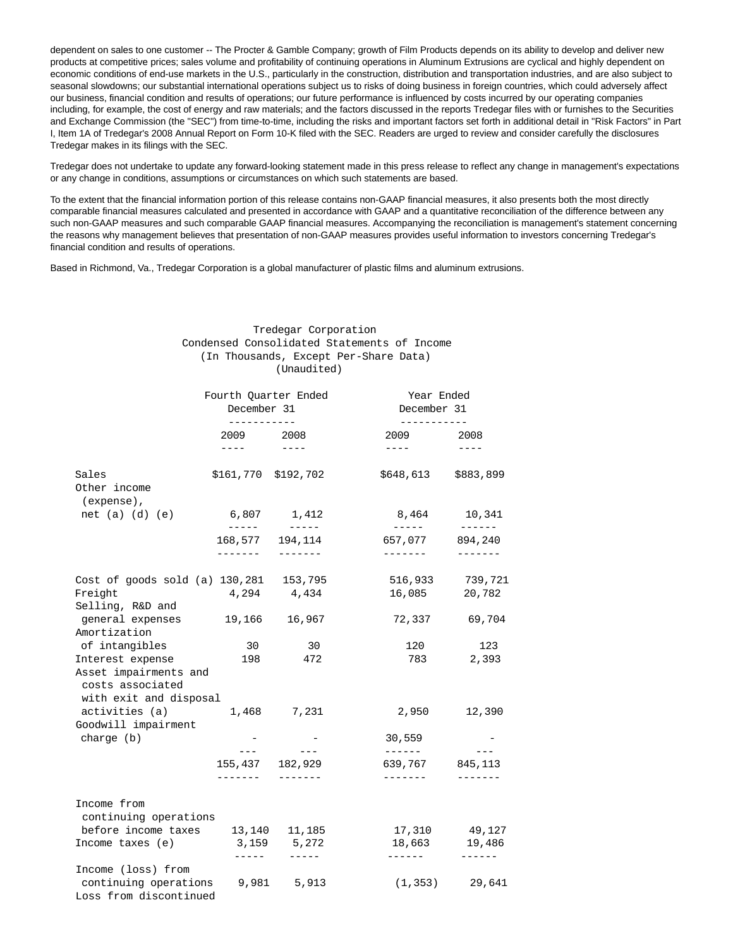dependent on sales to one customer -- The Procter & Gamble Company; growth of Film Products depends on its ability to develop and deliver new products at competitive prices; sales volume and profitability of continuing operations in Aluminum Extrusions are cyclical and highly dependent on economic conditions of end-use markets in the U.S., particularly in the construction, distribution and transportation industries, and are also subject to seasonal slowdowns; our substantial international operations subject us to risks of doing business in foreign countries, which could adversely affect our business, financial condition and results of operations; our future performance is influenced by costs incurred by our operating companies including, for example, the cost of energy and raw materials; and the factors discussed in the reports Tredegar files with or furnishes to the Securities and Exchange Commission (the "SEC") from time-to-time, including the risks and important factors set forth in additional detail in "Risk Factors" in Part I, Item 1A of Tredegar's 2008 Annual Report on Form 10-K filed with the SEC. Readers are urged to review and consider carefully the disclosures Tredegar makes in its filings with the SEC.

Tredegar does not undertake to update any forward-looking statement made in this press release to reflect any change in management's expectations or any change in conditions, assumptions or circumstances on which such statements are based.

To the extent that the financial information portion of this release contains non-GAAP financial measures, it also presents both the most directly comparable financial measures calculated and presented in accordance with GAAP and a quantitative reconciliation of the difference between any such non-GAAP measures and such comparable GAAP financial measures. Accompanying the reconciliation is management's statement concerning the reasons why management believes that presentation of non-GAAP measures provides useful information to investors concerning Tredegar's financial condition and results of operations.

Based in Richmond, Va., Tredegar Corporation is a global manufacturer of plastic films and aluminum extrusions.

 Tredegar Corporation Condensed Consolidated Statements of Income

|                                                                     |                                                                                                                                                                                                                                                                                                                                                                                                           | (Unaudited)              |                                                                                                                                                                                                                                                                                                                                                                                                                                                                                                                                                                                                   |                              |
|---------------------------------------------------------------------|-----------------------------------------------------------------------------------------------------------------------------------------------------------------------------------------------------------------------------------------------------------------------------------------------------------------------------------------------------------------------------------------------------------|--------------------------|---------------------------------------------------------------------------------------------------------------------------------------------------------------------------------------------------------------------------------------------------------------------------------------------------------------------------------------------------------------------------------------------------------------------------------------------------------------------------------------------------------------------------------------------------------------------------------------------------|------------------------------|
|                                                                     | Fourth Quarter Ended<br>December 31<br>-----------                                                                                                                                                                                                                                                                                                                                                        |                          | Year Ended<br>December 31<br>------------                                                                                                                                                                                                                                                                                                                                                                                                                                                                                                                                                         |                              |
|                                                                     | 2009 2008<br>$\frac{1}{2} \frac{1}{2} \frac{1}{2} \frac{1}{2} \frac{1}{2} \frac{1}{2} \frac{1}{2} \frac{1}{2} \frac{1}{2} \frac{1}{2} \frac{1}{2} \frac{1}{2} \frac{1}{2} \frac{1}{2} \frac{1}{2} \frac{1}{2} \frac{1}{2} \frac{1}{2} \frac{1}{2} \frac{1}{2} \frac{1}{2} \frac{1}{2} \frac{1}{2} \frac{1}{2} \frac{1}{2} \frac{1}{2} \frac{1}{2} \frac{1}{2} \frac{1}{2} \frac{1}{2} \frac{1}{2} \frac{$ | $- - - -$                | 2009 — 2007 — 2008 — 2009 — 2009 — 2009 — 2009 — 2009 — 2009 — 2009 — 2009 — 2009 — 2009 — 2009 — 2009 — 2009 — 200<br>$\frac{1}{2} \left( \frac{1}{2} \right) \left( \frac{1}{2} \right) \left( \frac{1}{2} \right) \left( \frac{1}{2} \right) \left( \frac{1}{2} \right) \left( \frac{1}{2} \right) \left( \frac{1}{2} \right) \left( \frac{1}{2} \right) \left( \frac{1}{2} \right) \left( \frac{1}{2} \right) \left( \frac{1}{2} \right) \left( \frac{1}{2} \right) \left( \frac{1}{2} \right) \left( \frac{1}{2} \right) \left( \frac{1}{2} \right) \left( \frac{1}{2} \right) \left( \frac$ | 2008<br>$\cdots$             |
| Sales<br>Other income                                               | \$161,770 \$192,702                                                                                                                                                                                                                                                                                                                                                                                       |                          | \$648,613 \$883,899                                                                                                                                                                                                                                                                                                                                                                                                                                                                                                                                                                               |                              |
| (expense),<br>net $(a)$ $(d)$ $(e)$                                 |                                                                                                                                                                                                                                                                                                                                                                                                           | 6,807 1,412              | 8,464                                                                                                                                                                                                                                                                                                                                                                                                                                                                                                                                                                                             | 10,341                       |
|                                                                     | $\frac{1}{2}$<br>168,577<br>--------                                                                                                                                                                                                                                                                                                                                                                      | $\frac{1}{2}$<br>194,114 | $\frac{1}{2} \frac{1}{2} \frac{1}{2} \frac{1}{2} \frac{1}{2} \frac{1}{2} \frac{1}{2} \frac{1}{2} \frac{1}{2} \frac{1}{2} \frac{1}{2} \frac{1}{2} \frac{1}{2} \frac{1}{2} \frac{1}{2} \frac{1}{2} \frac{1}{2} \frac{1}{2} \frac{1}{2} \frac{1}{2} \frac{1}{2} \frac{1}{2} \frac{1}{2} \frac{1}{2} \frac{1}{2} \frac{1}{2} \frac{1}{2} \frac{1}{2} \frac{1}{2} \frac{1}{2} \frac{1}{2} \frac{$<br>657,077<br>--------                                                                                                                                                                               | ------<br>894,240<br>------- |
| Cost of goods sold (a) 130,281 153,795                              |                                                                                                                                                                                                                                                                                                                                                                                                           |                          | 516,933                                                                                                                                                                                                                                                                                                                                                                                                                                                                                                                                                                                           | 739,721                      |
| Freight                                                             |                                                                                                                                                                                                                                                                                                                                                                                                           | 4,294 4,434              | 16,085                                                                                                                                                                                                                                                                                                                                                                                                                                                                                                                                                                                            | 20,782                       |
| Selling, R&D and                                                    |                                                                                                                                                                                                                                                                                                                                                                                                           |                          |                                                                                                                                                                                                                                                                                                                                                                                                                                                                                                                                                                                                   |                              |
| general expenses                                                    | 19,166                                                                                                                                                                                                                                                                                                                                                                                                    | 16,967                   | 72,337 69,704                                                                                                                                                                                                                                                                                                                                                                                                                                                                                                                                                                                     |                              |
| Amortization                                                        | 30                                                                                                                                                                                                                                                                                                                                                                                                        |                          |                                                                                                                                                                                                                                                                                                                                                                                                                                                                                                                                                                                                   |                              |
| of intangibles<br>Interest expense                                  | 198                                                                                                                                                                                                                                                                                                                                                                                                       | 30<br>472                | 120<br>783                                                                                                                                                                                                                                                                                                                                                                                                                                                                                                                                                                                        | 123<br>2,393                 |
| Asset impairments and<br>costs associated<br>with exit and disposal |                                                                                                                                                                                                                                                                                                                                                                                                           |                          |                                                                                                                                                                                                                                                                                                                                                                                                                                                                                                                                                                                                   |                              |
| activities (a)                                                      |                                                                                                                                                                                                                                                                                                                                                                                                           | 1,468 7,231              | 2,950                                                                                                                                                                                                                                                                                                                                                                                                                                                                                                                                                                                             | 12,390                       |
| Goodwill impairment                                                 |                                                                                                                                                                                                                                                                                                                                                                                                           |                          |                                                                                                                                                                                                                                                                                                                                                                                                                                                                                                                                                                                                   |                              |
| charge (b)                                                          | $\overline{\phantom{a}}$                                                                                                                                                                                                                                                                                                                                                                                  |                          | 30,559                                                                                                                                                                                                                                                                                                                                                                                                                                                                                                                                                                                            |                              |
|                                                                     |                                                                                                                                                                                                                                                                                                                                                                                                           |                          | -------                                                                                                                                                                                                                                                                                                                                                                                                                                                                                                                                                                                           |                              |
|                                                                     | 155,437 182,929                                                                                                                                                                                                                                                                                                                                                                                           |                          | 639,767                                                                                                                                                                                                                                                                                                                                                                                                                                                                                                                                                                                           | 845, 113                     |
| Income from                                                         | --------                                                                                                                                                                                                                                                                                                                                                                                                  |                          | -------                                                                                                                                                                                                                                                                                                                                                                                                                                                                                                                                                                                           | --------                     |
| continuing operations                                               |                                                                                                                                                                                                                                                                                                                                                                                                           |                          |                                                                                                                                                                                                                                                                                                                                                                                                                                                                                                                                                                                                   |                              |
| before income taxes                                                 |                                                                                                                                                                                                                                                                                                                                                                                                           | 13,140 11,185            | 17,310                                                                                                                                                                                                                                                                                                                                                                                                                                                                                                                                                                                            | 49,127                       |
| Income taxes (e)                                                    | 3,159<br>$- - - - - -$                                                                                                                                                                                                                                                                                                                                                                                    | 5,272<br>$- - - - - -$   | 18,663<br>------                                                                                                                                                                                                                                                                                                                                                                                                                                                                                                                                                                                  | 19,486<br>------             |
| Income (loss) from                                                  |                                                                                                                                                                                                                                                                                                                                                                                                           |                          |                                                                                                                                                                                                                                                                                                                                                                                                                                                                                                                                                                                                   |                              |
| continuing operations                                               |                                                                                                                                                                                                                                                                                                                                                                                                           | 9,981 5,913              | (1, 353)                                                                                                                                                                                                                                                                                                                                                                                                                                                                                                                                                                                          | 29,641                       |
| Loss from discontinued                                              |                                                                                                                                                                                                                                                                                                                                                                                                           |                          |                                                                                                                                                                                                                                                                                                                                                                                                                                                                                                                                                                                                   |                              |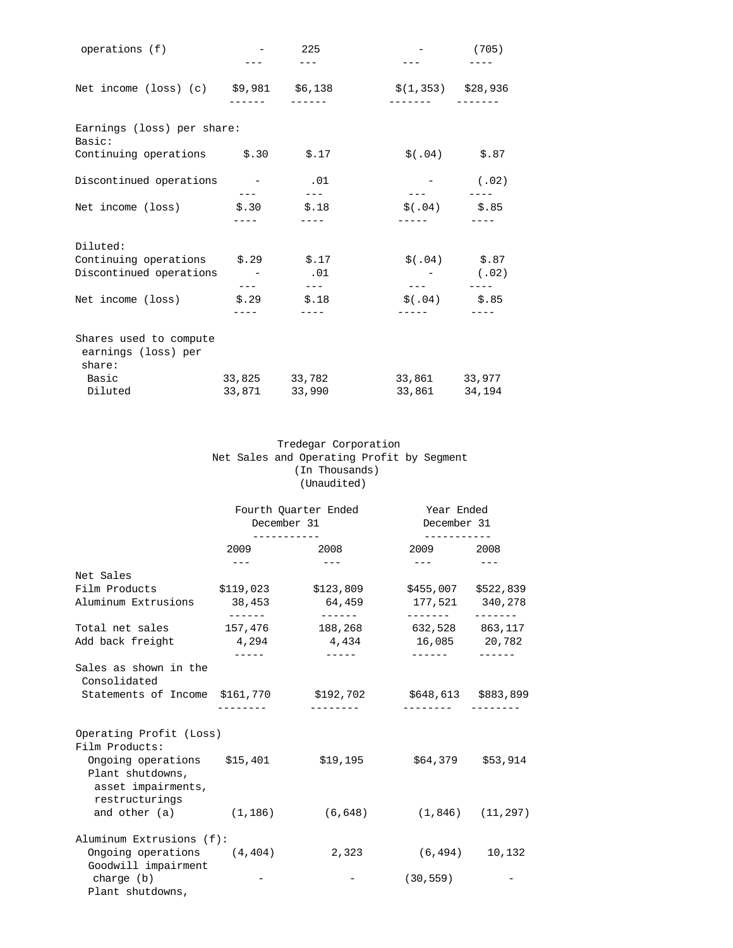| operations (f)                                          |       | 225           |                      | (705)           |
|---------------------------------------------------------|-------|---------------|----------------------|-----------------|
| Net income (loss) (c) \$9,981 \$6,138                   |       |               | $$(1,353)$ $$28,936$ |                 |
|                                                         |       |               |                      |                 |
| Earnings (loss) per share:<br>Basic:                    |       |               |                      |                 |
| Continuing operations \$.30 \$.17                       |       |               | $$(.04)$ $$.87$      |                 |
| Discontinued operations - 01                            |       | $\frac{1}{2}$ |                      | $-$ (.02)       |
| Net income (loss) $\qquad$ \$.30 $\qquad$ \$.18         |       |               | $$(.04)$ $$.85$      |                 |
|                                                         |       |               |                      |                 |
| Diluted:                                                |       |               |                      |                 |
| Continuing operations \$.29 \$.17                       |       |               |                      | $$(.04)$ $$.87$ |
| Discontinued operations - 01                            |       |               |                      | $-$ (.02)       |
|                                                         |       |               | $ -$                 |                 |
| Net income (loss)                                       | \$.29 | \$.18         | $$(.04)$ $$.85$      |                 |
|                                                         |       |               |                      |                 |
| Shares used to compute<br>earnings (loss) per<br>share: |       |               |                      |                 |
| Basic                                                   |       | 33,825 33,782 | 33,861 33,977        |                 |
| Diluted                                                 |       | 33,871 33,990 | 33,861 34,194        |                 |
|                                                         |       |               |                      |                 |

# Tredegar Corporation Net Sales and Operating Profit by Segment (In Thousands) (Unaudited)

|                                                                                                                                                                   | December 31       | Fourth Quarter Ended                                                                                                                                                                                                                                                                                                                                                                         | Year Ended<br>December 31                                                                                                                                                                                                                                                                                                                                                                    |                     |
|-------------------------------------------------------------------------------------------------------------------------------------------------------------------|-------------------|----------------------------------------------------------------------------------------------------------------------------------------------------------------------------------------------------------------------------------------------------------------------------------------------------------------------------------------------------------------------------------------------|----------------------------------------------------------------------------------------------------------------------------------------------------------------------------------------------------------------------------------------------------------------------------------------------------------------------------------------------------------------------------------------------|---------------------|
|                                                                                                                                                                   | 2009              | 2008                                                                                                                                                                                                                                                                                                                                                                                         | 2009 2008                                                                                                                                                                                                                                                                                                                                                                                    |                     |
|                                                                                                                                                                   | $---$             | $\qquad \qquad - -$                                                                                                                                                                                                                                                                                                                                                                          | $\frac{1}{2} \frac{1}{2} \frac{1}{2} \frac{1}{2} \frac{1}{2} \frac{1}{2} \frac{1}{2} \frac{1}{2} \frac{1}{2} \frac{1}{2} \frac{1}{2} \frac{1}{2} \frac{1}{2} \frac{1}{2} \frac{1}{2} \frac{1}{2} \frac{1}{2} \frac{1}{2} \frac{1}{2} \frac{1}{2} \frac{1}{2} \frac{1}{2} \frac{1}{2} \frac{1}{2} \frac{1}{2} \frac{1}{2} \frac{1}{2} \frac{1}{2} \frac{1}{2} \frac{1}{2} \frac{1}{2} \frac{$ | $\qquad \qquad - -$ |
| Net Sales                                                                                                                                                         |                   |                                                                                                                                                                                                                                                                                                                                                                                              |                                                                                                                                                                                                                                                                                                                                                                                              |                     |
| Film Products                                                                                                                                                     |                   | $$119,023$ $$123,809$                                                                                                                                                                                                                                                                                                                                                                        | \$455,007 \$522,839                                                                                                                                                                                                                                                                                                                                                                          |                     |
| Aluminum Extrusions                                                                                                                                               | 38,453<br>------- | 64,459<br>_______                                                                                                                                                                                                                                                                                                                                                                            | 177,521 340,278<br>________                                                                                                                                                                                                                                                                                                                                                                  |                     |
| Total net sales                                                                                                                                                   | 157,476           | 188,268                                                                                                                                                                                                                                                                                                                                                                                      | 632,528 863,117                                                                                                                                                                                                                                                                                                                                                                              |                     |
| Add back freight                                                                                                                                                  | 4,294             | 4,434                                                                                                                                                                                                                                                                                                                                                                                        | 16,085 20,782                                                                                                                                                                                                                                                                                                                                                                                |                     |
|                                                                                                                                                                   | ------            | $\frac{1}{2} \frac{1}{2} \frac{1}{2} \frac{1}{2} \frac{1}{2} \frac{1}{2} \frac{1}{2} \frac{1}{2} \frac{1}{2} \frac{1}{2} \frac{1}{2} \frac{1}{2} \frac{1}{2} \frac{1}{2} \frac{1}{2} \frac{1}{2} \frac{1}{2} \frac{1}{2} \frac{1}{2} \frac{1}{2} \frac{1}{2} \frac{1}{2} \frac{1}{2} \frac{1}{2} \frac{1}{2} \frac{1}{2} \frac{1}{2} \frac{1}{2} \frac{1}{2} \frac{1}{2} \frac{1}{2} \frac{$ | -------                                                                                                                                                                                                                                                                                                                                                                                      |                     |
| Sales as shown in the<br>Consolidated                                                                                                                             |                   |                                                                                                                                                                                                                                                                                                                                                                                              |                                                                                                                                                                                                                                                                                                                                                                                              |                     |
| Statements of Income \$161,770                                                                                                                                    |                   | \$192,702                                                                                                                                                                                                                                                                                                                                                                                    | \$648,613 \$883,899                                                                                                                                                                                                                                                                                                                                                                          |                     |
| Operating Profit (Loss)<br>Film Products:<br>Ongoing operations \$15,401<br>Plant shutdowns,<br>asset impairments,<br>restructurings<br>and other $(a)$ $(1,186)$ |                   | \$19,195<br>(6, 648)                                                                                                                                                                                                                                                                                                                                                                         | $(1,846)$ $(11,297)$                                                                                                                                                                                                                                                                                                                                                                         | $$64,379$ $$53,914$ |
| Aluminum Extrusions (f):                                                                                                                                          |                   |                                                                                                                                                                                                                                                                                                                                                                                              |                                                                                                                                                                                                                                                                                                                                                                                              |                     |
| Ongoing operations (4,404)<br>Goodwill impairment                                                                                                                 |                   | 2,323                                                                                                                                                                                                                                                                                                                                                                                        | (6, 494)                                                                                                                                                                                                                                                                                                                                                                                     | 10,132              |
| charge (b)<br>Plant shutdowns,                                                                                                                                    |                   |                                                                                                                                                                                                                                                                                                                                                                                              | (30, 559)                                                                                                                                                                                                                                                                                                                                                                                    |                     |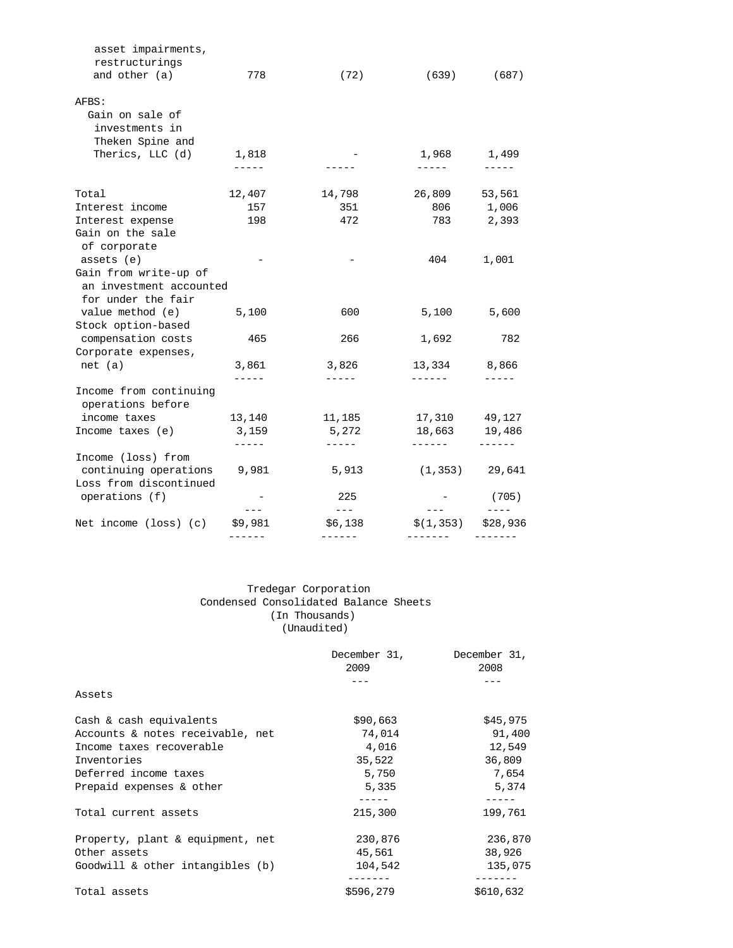| asset impairments,<br>restructurings        |             |                                                                                                                                                                                                                                                                                                                                                                                                     |                  |           |
|---------------------------------------------|-------------|-----------------------------------------------------------------------------------------------------------------------------------------------------------------------------------------------------------------------------------------------------------------------------------------------------------------------------------------------------------------------------------------------------|------------------|-----------|
| and other (a)                               | 778         | (72)                                                                                                                                                                                                                                                                                                                                                                                                | (639)            | (687)     |
| AFBS:                                       |             |                                                                                                                                                                                                                                                                                                                                                                                                     |                  |           |
| Gain on sale of                             |             |                                                                                                                                                                                                                                                                                                                                                                                                     |                  |           |
| investments in                              |             |                                                                                                                                                                                                                                                                                                                                                                                                     |                  |           |
| Theken Spine and                            |             |                                                                                                                                                                                                                                                                                                                                                                                                     |                  |           |
| Therics, LLC (d)                            | 1,818       |                                                                                                                                                                                                                                                                                                                                                                                                     | 1,968 1,499      |           |
|                                             | $- - - - -$ |                                                                                                                                                                                                                                                                                                                                                                                                     | ------           |           |
| Total                                       | 12,407      | 14,798                                                                                                                                                                                                                                                                                                                                                                                              | 26,809           | 53,561    |
| Interest income                             | 157         | 351                                                                                                                                                                                                                                                                                                                                                                                                 |                  | 806 1,006 |
| Interest expense                            | 198         | 472                                                                                                                                                                                                                                                                                                                                                                                                 | 783              | 2,393     |
| Gain on the sale                            |             |                                                                                                                                                                                                                                                                                                                                                                                                     |                  |           |
| of corporate                                |             |                                                                                                                                                                                                                                                                                                                                                                                                     |                  |           |
| assets (e)                                  |             |                                                                                                                                                                                                                                                                                                                                                                                                     | 404              | 1,001     |
| Gain from write-up of                       |             |                                                                                                                                                                                                                                                                                                                                                                                                     |                  |           |
| an investment accounted                     |             |                                                                                                                                                                                                                                                                                                                                                                                                     |                  |           |
| for under the fair                          |             |                                                                                                                                                                                                                                                                                                                                                                                                     |                  |           |
| value method (e) 5,100                      |             | 600                                                                                                                                                                                                                                                                                                                                                                                                 | 5,100            | 5,600     |
| Stock option-based                          |             |                                                                                                                                                                                                                                                                                                                                                                                                     |                  |           |
| compensation costs                          | 465         | 266                                                                                                                                                                                                                                                                                                                                                                                                 | 1,692            | 782       |
| Corporate expenses,                         |             |                                                                                                                                                                                                                                                                                                                                                                                                     |                  |           |
| net (a)                                     | 3,861       | 3,826                                                                                                                                                                                                                                                                                                                                                                                               | 13,334 8,866     |           |
|                                             |             | $- - - - - -$                                                                                                                                                                                                                                                                                                                                                                                       |                  |           |
| Income from continuing<br>operations before |             |                                                                                                                                                                                                                                                                                                                                                                                                     |                  |           |
| income taxes                                | 13,140      | 11,185                                                                                                                                                                                                                                                                                                                                                                                              | 17,310 49,127    |           |
| Income taxes (e)                            | 3,159       | 5,272                                                                                                                                                                                                                                                                                                                                                                                               | 18,663 19,486    |           |
|                                             |             | -----                                                                                                                                                                                                                                                                                                                                                                                               |                  |           |
| Income (loss) from                          |             |                                                                                                                                                                                                                                                                                                                                                                                                     |                  |           |
| continuing operations 9,981                 |             | 5,913                                                                                                                                                                                                                                                                                                                                                                                               | $(1,353)$ 29,641 |           |
| Loss from discontinued                      |             |                                                                                                                                                                                                                                                                                                                                                                                                     |                  |           |
| operations (f)                              | $---$       | 225<br>$\frac{1}{2} \frac{1}{2} \frac{1}{2} \frac{1}{2} \frac{1}{2} \frac{1}{2} \frac{1}{2} \frac{1}{2} \frac{1}{2} \frac{1}{2} \frac{1}{2} \frac{1}{2} \frac{1}{2} \frac{1}{2} \frac{1}{2} \frac{1}{2} \frac{1}{2} \frac{1}{2} \frac{1}{2} \frac{1}{2} \frac{1}{2} \frac{1}{2} \frac{1}{2} \frac{1}{2} \frac{1}{2} \frac{1}{2} \frac{1}{2} \frac{1}{2} \frac{1}{2} \frac{1}{2} \frac{1}{2} \frac{$ |                  | (705)     |
| Net income (loss) (c)                       | \$9,981     | \$6,138                                                                                                                                                                                                                                                                                                                                                                                             | \$(1,353)        | \$28,936  |
|                                             |             |                                                                                                                                                                                                                                                                                                                                                                                                     |                  |           |

# Tredegar Corporation Condensed Consolidated Balance Sheets (In Thousands) (Unaudited)

|                                  | December 31,<br>2009 | December 31,<br>2008 |
|----------------------------------|----------------------|----------------------|
|                                  |                      |                      |
| Assets                           |                      |                      |
| Cash & cash equivalents          | \$90,663             | \$45,975             |
| Accounts & notes receivable, net | 74,014               | 91,400               |
| Income taxes recoverable         | 4,016                | 12,549               |
| Inventories                      | 35,522               | 36,809               |
| Deferred income taxes            | 5,750                | 7,654                |
| Prepaid expenses & other         | 5,335                | 5,374                |
|                                  | -----                |                      |
| Total current assets             | 215,300              | 199,761              |
| Property, plant & equipment, net | 230,876              | 236,870              |
| Other assets                     | 45,561               | 38,926               |
| Goodwill & other intangibles (b) | 104,542              | 135,075              |
| Total assets                     | \$596,279            | \$610,632            |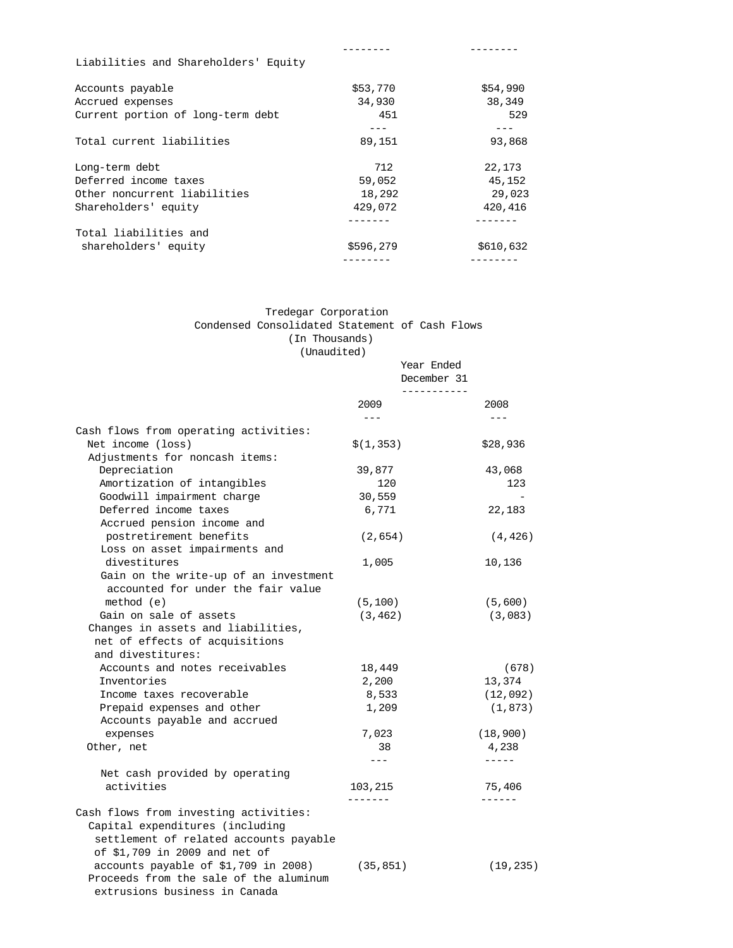| Liabilities and Shareholders' Equity |           |           |
|--------------------------------------|-----------|-----------|
| Accounts payable                     | \$53,770  | \$54,990  |
| Accrued expenses                     | 34,930    | 38,349    |
| Current portion of long-term debt    | 451       | 529       |
|                                      | ---       | ---       |
| Total current liabilities            | 89,151    | 93,868    |
| Long-term debt                       | 712       | 22,173    |
| Deferred income taxes                | 59,052    | 45,152    |
| Other noncurrent liabilities         | 18,292    | 29,023    |
| Shareholders' equity                 | 429,072   | 420,416   |
|                                      |           |           |
| Total liabilities and                |           |           |
| shareholders' equity                 | \$596,279 | \$610,632 |
|                                      |           |           |

# Tredegar Corporation Condensed Consolidated Statement of Cash Flows (In Thousands)

(Unaudited)

|                                                                                | Year Ended<br>December 31<br>----------- |               |
|--------------------------------------------------------------------------------|------------------------------------------|---------------|
|                                                                                | 2009                                     | 2008          |
| Cash flows from operating activities:                                          | $\frac{1}{2}$                            | $\frac{1}{2}$ |
| Net income (loss)                                                              | \$(1,353)                                | \$28,936      |
| Adjustments for noncash items:                                                 |                                          |               |
| Depreciation                                                                   | 39,877                                   | 43,068        |
| Amortization of intangibles                                                    | 120                                      | 123           |
| Goodwill impairment charge                                                     | 30,559                                   |               |
| Deferred income taxes                                                          | 6,771                                    | 22,183        |
| Accrued pension income and                                                     |                                          |               |
| postretirement benefits                                                        | (2,654)                                  | (4, 426)      |
| Loss on asset impairments and                                                  |                                          |               |
| divestitures                                                                   | 1,005                                    | 10,136        |
| Gain on the write-up of an investment<br>accounted for under the fair value    |                                          |               |
| method (e)                                                                     | (5, 100)                                 | (5,600)       |
| Gain on sale of assets                                                         | (3, 462)                                 | (3,083)       |
| Changes in assets and liabilities,                                             |                                          |               |
| net of effects of acquisitions                                                 |                                          |               |
| and divestitures:                                                              |                                          |               |
| Accounts and notes receivables                                                 | 18,449                                   | (678)         |
| Inventories                                                                    | 2,200                                    | 13,374        |
| Income taxes recoverable                                                       | 8,533                                    | (12, 092)     |
| Prepaid expenses and other                                                     | 1,209                                    | (1, 873)      |
| Accounts payable and accrued                                                   |                                          |               |
| expenses                                                                       | 7,023                                    | (18, 900)     |
| Other, net                                                                     | 38                                       | 4,238         |
|                                                                                | $---$                                    | $- - - - -$   |
| Net cash provided by operating                                                 |                                          |               |
| activities                                                                     | 103,215                                  | 75,406        |
|                                                                                | -------                                  | ------        |
| Cash flows from investing activities:                                          |                                          |               |
| Capital expenditures (including                                                |                                          |               |
| settlement of related accounts payable                                         |                                          |               |
| of \$1,709 in 2009 and net of                                                  |                                          |               |
| accounts payable of \$1,709 in 2008)<br>Proceeds from the sale of the aluminum | (35, 851)                                | (19, 235)     |
| extrusions business in Canada                                                  |                                          |               |
|                                                                                |                                          |               |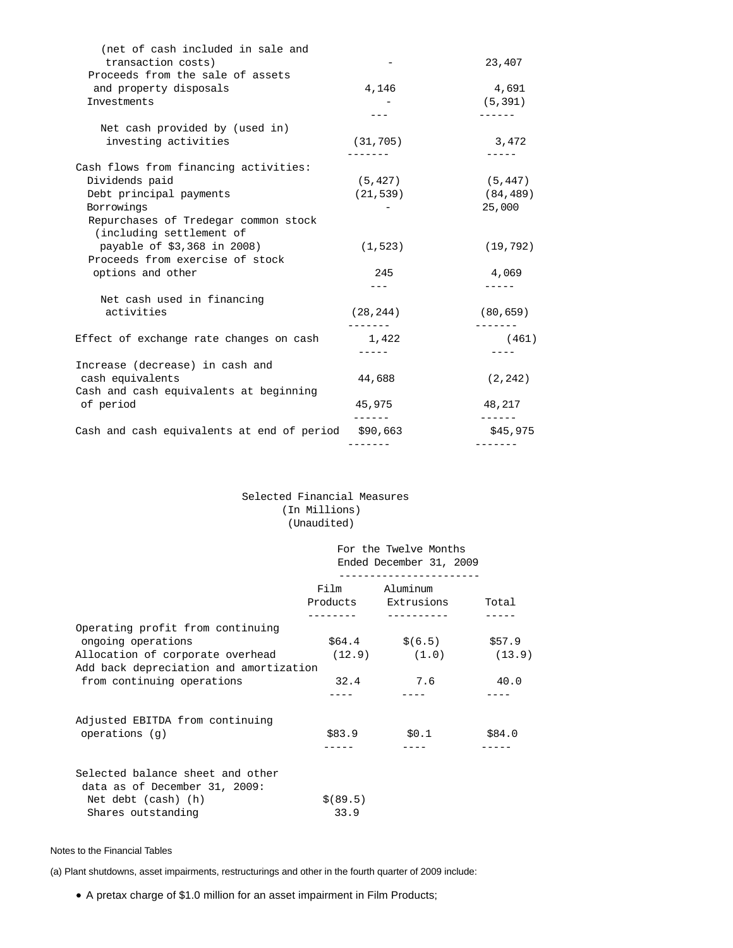| (net of cash included in sale and          |           |           |
|--------------------------------------------|-----------|-----------|
| transaction costs)                         |           | 23,407    |
| Proceeds from the sale of assets           |           |           |
| and property disposals                     | 4,146     | 4,691     |
| Investments                                |           | (5, 391)  |
|                                            |           |           |
| Net cash provided by (used in)             |           |           |
| investing activities                       | (31, 705) | 3,472     |
|                                            |           |           |
| Cash flows from financing activities:      |           |           |
| Dividends paid                             | (5, 427)  | (5, 447)  |
| Debt principal payments                    | (21, 539) | (84, 489) |
| Borrowings                                 |           | 25,000    |
| Repurchases of Tredegar common stock       |           |           |
| (including settlement of                   |           |           |
| payable of \$3,368 in 2008)                | (1, 523)  | (19, 792) |
| Proceeds from exercise of stock            |           |           |
| options and other                          | 245       | 4,069     |
|                                            |           |           |
| Net cash used in financing                 |           |           |
| activities                                 | (28, 244) | (80, 659) |
| Effect of exchange rate changes on cash    | 1,422     | (461)     |
|                                            |           |           |
| Increase (decrease) in cash and            |           |           |
| cash equivalents                           | 44,688    | (2, 242)  |
| Cash and cash equivalents at beginning     |           |           |
| of period                                  | 45,975    | 48,217    |
|                                            |           |           |
| Cash and cash equivalents at end of period | \$90,663  | \$45,975  |
|                                            |           |           |
|                                            |           |           |

## Selected Financial Measures (In Millions) (Unaudited)

|                                        |           | For the Twelve Months<br>Ended December 31, 2009 |        |
|----------------------------------------|-----------|--------------------------------------------------|--------|
|                                        |           | Film Aluminum                                    |        |
|                                        |           | Products Extrusions                              | Total  |
| Operating profit from continuing       |           |                                                  |        |
| ongoing operations                     |           | $$64.4$ $$(6.5)$ \$57.9                          |        |
| Allocation of corporate overhead       |           | $(12.9)$ $(1.0)$ $(13.9)$                        |        |
| Add back depreciation and amortization |           |                                                  |        |
| from continuing operations             | 32.4      | 7.6                                              | 40.0   |
|                                        |           |                                                  |        |
| Adjusted EBITDA from continuing        |           |                                                  |        |
| operations $(q)$                       |           | \$83.9 \$0.1                                     | \$84.0 |
|                                        |           |                                                  |        |
| Selected balance sheet and other       |           |                                                  |        |
| data as of December 31, 2009:          |           |                                                  |        |
| Net debt (cash) (h)                    | \$ (89.5) |                                                  |        |
| Shares outstanding                     | 33.9      |                                                  |        |

## Notes to the Financial Tables

(a) Plant shutdowns, asset impairments, restructurings and other in the fourth quarter of 2009 include:

A pretax charge of \$1.0 million for an asset impairment in Film Products;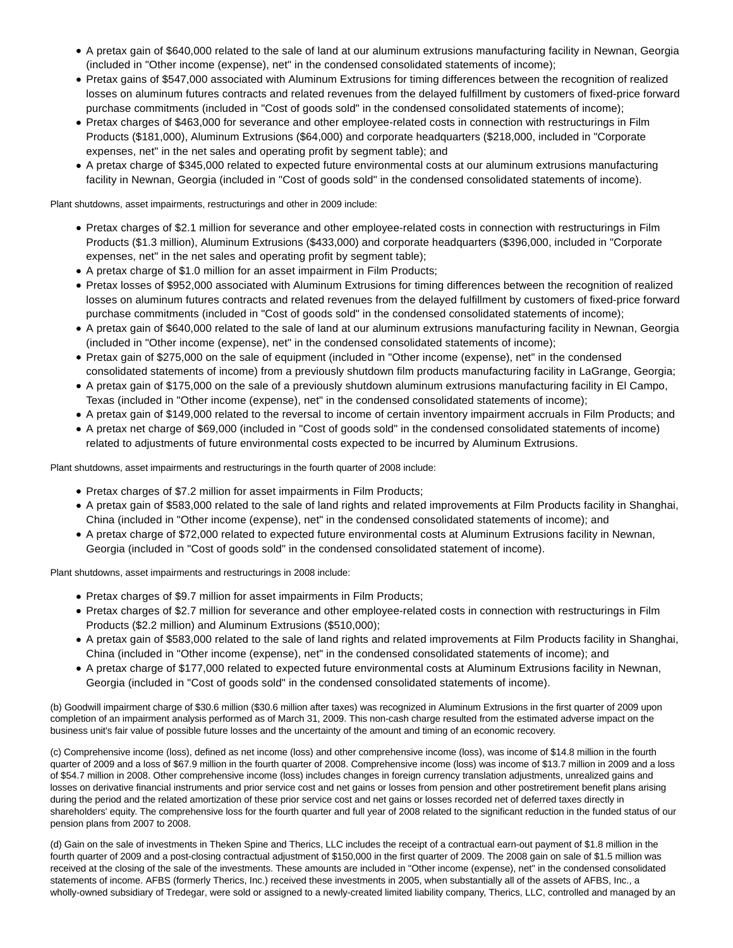- A pretax gain of \$640,000 related to the sale of land at our aluminum extrusions manufacturing facility in Newnan, Georgia (included in "Other income (expense), net" in the condensed consolidated statements of income);
- Pretax gains of \$547,000 associated with Aluminum Extrusions for timing differences between the recognition of realized losses on aluminum futures contracts and related revenues from the delayed fulfillment by customers of fixed-price forward purchase commitments (included in "Cost of goods sold" in the condensed consolidated statements of income);
- Pretax charges of \$463,000 for severance and other employee-related costs in connection with restructurings in Film Products (\$181,000), Aluminum Extrusions (\$64,000) and corporate headquarters (\$218,000, included in "Corporate expenses, net" in the net sales and operating profit by segment table); and
- A pretax charge of \$345,000 related to expected future environmental costs at our aluminum extrusions manufacturing facility in Newnan, Georgia (included in "Cost of goods sold" in the condensed consolidated statements of income).

Plant shutdowns, asset impairments, restructurings and other in 2009 include:

- Pretax charges of \$2.1 million for severance and other employee-related costs in connection with restructurings in Film Products (\$1.3 million), Aluminum Extrusions (\$433,000) and corporate headquarters (\$396,000, included in "Corporate expenses, net" in the net sales and operating profit by segment table);
- A pretax charge of \$1.0 million for an asset impairment in Film Products;
- Pretax losses of \$952,000 associated with Aluminum Extrusions for timing differences between the recognition of realized losses on aluminum futures contracts and related revenues from the delayed fulfillment by customers of fixed-price forward purchase commitments (included in "Cost of goods sold" in the condensed consolidated statements of income);
- A pretax gain of \$640,000 related to the sale of land at our aluminum extrusions manufacturing facility in Newnan, Georgia (included in "Other income (expense), net" in the condensed consolidated statements of income);
- Pretax gain of \$275,000 on the sale of equipment (included in "Other income (expense), net" in the condensed consolidated statements of income) from a previously shutdown film products manufacturing facility in LaGrange, Georgia;
- A pretax gain of \$175,000 on the sale of a previously shutdown aluminum extrusions manufacturing facility in El Campo, Texas (included in "Other income (expense), net" in the condensed consolidated statements of income);
- A pretax gain of \$149,000 related to the reversal to income of certain inventory impairment accruals in Film Products; and
- A pretax net charge of \$69,000 (included in "Cost of goods sold" in the condensed consolidated statements of income) related to adjustments of future environmental costs expected to be incurred by Aluminum Extrusions.

Plant shutdowns, asset impairments and restructurings in the fourth quarter of 2008 include:

- Pretax charges of \$7.2 million for asset impairments in Film Products;
- A pretax gain of \$583,000 related to the sale of land rights and related improvements at Film Products facility in Shanghai, China (included in "Other income (expense), net" in the condensed consolidated statements of income); and
- A pretax charge of \$72,000 related to expected future environmental costs at Aluminum Extrusions facility in Newnan, Georgia (included in "Cost of goods sold" in the condensed consolidated statement of income).

Plant shutdowns, asset impairments and restructurings in 2008 include:

- Pretax charges of \$9.7 million for asset impairments in Film Products;
- Pretax charges of \$2.7 million for severance and other employee-related costs in connection with restructurings in Film Products (\$2.2 million) and Aluminum Extrusions (\$510,000);
- A pretax gain of \$583,000 related to the sale of land rights and related improvements at Film Products facility in Shanghai, China (included in "Other income (expense), net" in the condensed consolidated statements of income); and
- A pretax charge of \$177,000 related to expected future environmental costs at Aluminum Extrusions facility in Newnan, Georgia (included in "Cost of goods sold" in the condensed consolidated statements of income).

(b) Goodwill impairment charge of \$30.6 million (\$30.6 million after taxes) was recognized in Aluminum Extrusions in the first quarter of 2009 upon completion of an impairment analysis performed as of March 31, 2009. This non-cash charge resulted from the estimated adverse impact on the business unit's fair value of possible future losses and the uncertainty of the amount and timing of an economic recovery.

(c) Comprehensive income (loss), defined as net income (loss) and other comprehensive income (loss), was income of \$14.8 million in the fourth quarter of 2009 and a loss of \$67.9 million in the fourth quarter of 2008. Comprehensive income (loss) was income of \$13.7 million in 2009 and a loss of \$54.7 million in 2008. Other comprehensive income (loss) includes changes in foreign currency translation adjustments, unrealized gains and losses on derivative financial instruments and prior service cost and net gains or losses from pension and other postretirement benefit plans arising during the period and the related amortization of these prior service cost and net gains or losses recorded net of deferred taxes directly in shareholders' equity. The comprehensive loss for the fourth quarter and full year of 2008 related to the significant reduction in the funded status of our pension plans from 2007 to 2008.

(d) Gain on the sale of investments in Theken Spine and Therics, LLC includes the receipt of a contractual earn-out payment of \$1.8 million in the fourth quarter of 2009 and a post-closing contractual adjustment of \$150,000 in the first quarter of 2009. The 2008 gain on sale of \$1.5 million was received at the closing of the sale of the investments. These amounts are included in "Other income (expense), net" in the condensed consolidated statements of income. AFBS (formerly Therics, Inc.) received these investments in 2005, when substantially all of the assets of AFBS, Inc., a wholly-owned subsidiary of Tredegar, were sold or assigned to a newly-created limited liability company, Therics, LLC, controlled and managed by an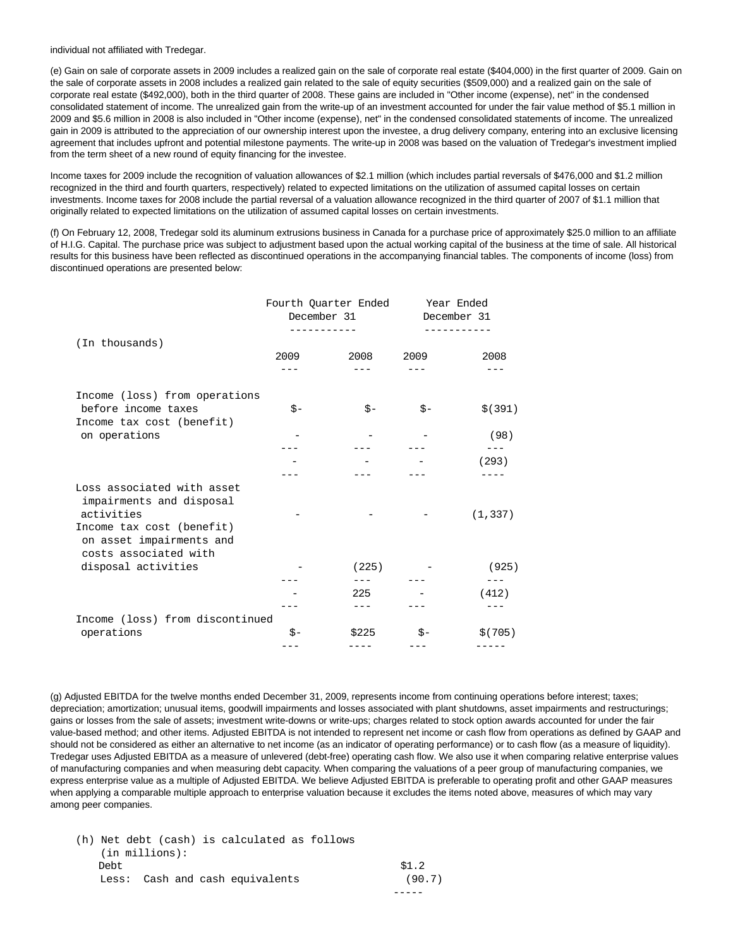individual not affiliated with Tredegar.

(e) Gain on sale of corporate assets in 2009 includes a realized gain on the sale of corporate real estate (\$404,000) in the first quarter of 2009. Gain on the sale of corporate assets in 2008 includes a realized gain related to the sale of equity securities (\$509,000) and a realized gain on the sale of corporate real estate (\$492,000), both in the third quarter of 2008. These gains are included in "Other income (expense), net" in the condensed consolidated statement of income. The unrealized gain from the write-up of an investment accounted for under the fair value method of \$5.1 million in 2009 and \$5.6 million in 2008 is also included in "Other income (expense), net" in the condensed consolidated statements of income. The unrealized gain in 2009 is attributed to the appreciation of our ownership interest upon the investee, a drug delivery company, entering into an exclusive licensing agreement that includes upfront and potential milestone payments. The write-up in 2008 was based on the valuation of Tredegar's investment implied from the term sheet of a new round of equity financing for the investee.

Income taxes for 2009 include the recognition of valuation allowances of \$2.1 million (which includes partial reversals of \$476,000 and \$1.2 million recognized in the third and fourth quarters, respectively) related to expected limitations on the utilization of assumed capital losses on certain investments. Income taxes for 2008 include the partial reversal of a valuation allowance recognized in the third quarter of 2007 of \$1.1 million that originally related to expected limitations on the utilization of assumed capital losses on certain investments.

(f) On February 12, 2008, Tredegar sold its aluminum extrusions business in Canada for a purchase price of approximately \$25.0 million to an affiliate of H.I.G. Capital. The purchase price was subject to adjustment based upon the actual working capital of the business at the time of sale. All historical results for this business have been reflected as discontinued operations in the accompanying financial tables. The components of income (loss) from discontinued operations are presented below:

|                                                                                                   |      | Fourth Quarter Ended<br>December 31 | Year Ended<br>December 31 |                |
|---------------------------------------------------------------------------------------------------|------|-------------------------------------|---------------------------|----------------|
| (In thousands)                                                                                    |      |                                     |                           |                |
|                                                                                                   | 2009 | 2008                                | 2009                      | 2008           |
| Income (loss) from operations                                                                     |      |                                     |                           |                |
| before income taxes                                                                               | $S-$ | $S -$                               | $S -$                     | \$ (391)       |
| Income tax cost (benefit)                                                                         |      |                                     |                           |                |
| on operations                                                                                     |      |                                     |                           | (98)           |
|                                                                                                   |      |                                     |                           | $---$          |
|                                                                                                   |      |                                     |                           | (293)          |
| Loss associated with asset<br>impairments and disposal<br>activities<br>Income tax cost (benefit) |      |                                     |                           | (1, 337)       |
| on asset impairments and<br>costs associated with<br>disposal activities                          |      | (225)                               |                           | (925)<br>$---$ |
|                                                                                                   |      | 225                                 |                           | (412)          |
|                                                                                                   |      |                                     |                           |                |
| Income (loss) from discontinued                                                                   |      |                                     |                           |                |
| operations                                                                                        | \$-  | \$225                               | \$-                       | \$ (705)       |
|                                                                                                   |      |                                     |                           |                |

(g) Adjusted EBITDA for the twelve months ended December 31, 2009, represents income from continuing operations before interest; taxes; depreciation; amortization; unusual items, goodwill impairments and losses associated with plant shutdowns, asset impairments and restructurings; gains or losses from the sale of assets; investment write-downs or write-ups; charges related to stock option awards accounted for under the fair value-based method; and other items. Adjusted EBITDA is not intended to represent net income or cash flow from operations as defined by GAAP and should not be considered as either an alternative to net income (as an indicator of operating performance) or to cash flow (as a measure of liquidity). Tredegar uses Adjusted EBITDA as a measure of unlevered (debt-free) operating cash flow. We also use it when comparing relative enterprise values of manufacturing companies and when measuring debt capacity. When comparing the valuations of a peer group of manufacturing companies, we express enterprise value as a multiple of Adjusted EBITDA. We believe Adjusted EBITDA is preferable to operating profit and other GAAP measures when applying a comparable multiple approach to enterprise valuation because it excludes the items noted above, measures of which may vary among peer companies.

| (h) Net debt (cash) is calculated as follows |        |
|----------------------------------------------|--------|
| $(in$ millions):                             |        |
| Debt.                                        | \$1.2  |
| Less: Cash and cash equivalents              | (90.7) |
|                                              |        |